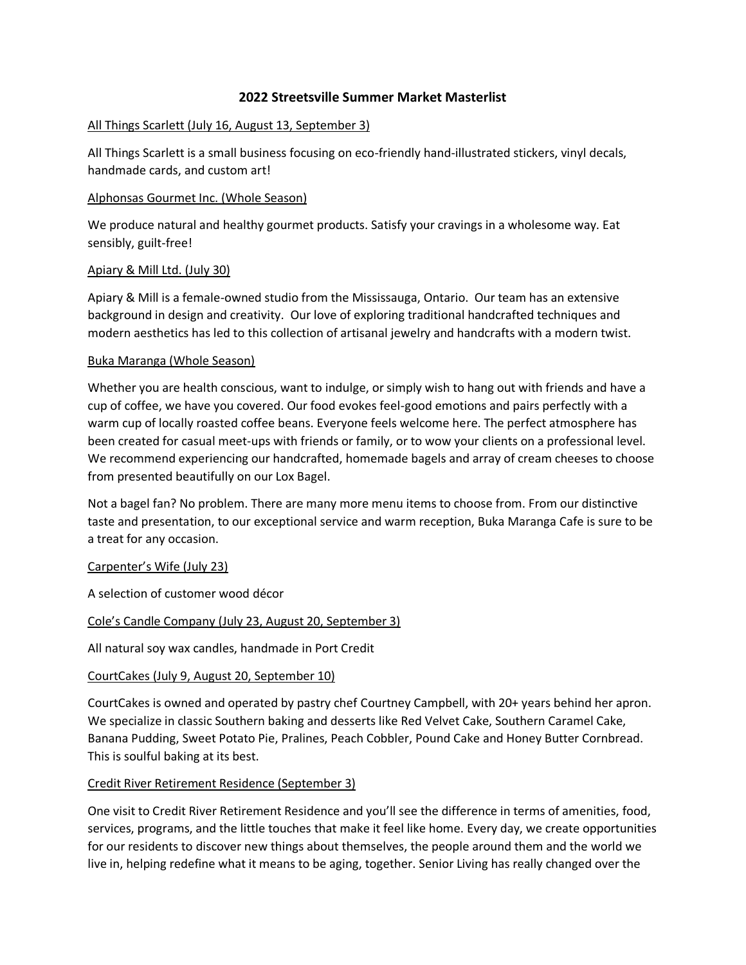# **2022 Streetsville Summer Market Masterlist**

#### All Things Scarlett (July 16, August 13, September 3)

All Things Scarlett is a small business focusing on eco-friendly hand-illustrated stickers, vinyl decals, handmade cards, and custom art!

#### Alphonsas Gourmet Inc. (Whole Season)

We produce natural and healthy gourmet products. Satisfy your cravings in a wholesome way. Eat sensibly, guilt-free!

#### Apiary & Mill Ltd. (July 30)

Apiary & Mill is a female-owned studio from the Mississauga, Ontario. Our team has an extensive background in design and creativity. Our love of exploring traditional handcrafted techniques and modern aesthetics has led to this collection of artisanal jewelry and handcrafts with a modern twist.

#### Buka Maranga (Whole Season)

Whether you are health conscious, want to indulge, or simply wish to hang out with friends and have a cup of coffee, we have you covered. Our food evokes feel-good emotions and pairs perfectly with a warm cup of locally roasted coffee beans. Everyone feels welcome here. The perfect atmosphere has been created for casual meet-ups with friends or family, or to wow your clients on a professional level. We recommend experiencing our handcrafted, homemade bagels and array of cream cheeses to choose from presented beautifully on our Lox Bagel.

Not a bagel fan? No problem. There are many more menu items to choose from. From our distinctive taste and presentation, to our exceptional service and warm reception, Buka Maranga Cafe is sure to be a treat for any occasion.

## Carpenter's Wife (July 23)

A selection of customer wood décor

## Cole's Candle Company (July 23, August 20, September 3)

All natural soy wax candles, handmade in Port Credit

## CourtCakes (July 9, August 20, September 10)

CourtCakes is owned and operated by pastry chef Courtney Campbell, with 20+ years behind her apron. We specialize in classic Southern baking and desserts like Red Velvet Cake, Southern Caramel Cake, Banana Pudding, Sweet Potato Pie, Pralines, Peach Cobbler, Pound Cake and Honey Butter Cornbread. This is soulful baking at its best.

## Credit River Retirement Residence (September 3)

One visit to Credit River Retirement Residence and you'll see the difference in terms of amenities, food, services, programs, and the little touches that make it feel like home. Every day, we create opportunities for our residents to discover new things about themselves, the people around them and the world we live in, helping redefine what it means to be aging, together. Senior Living has really changed over the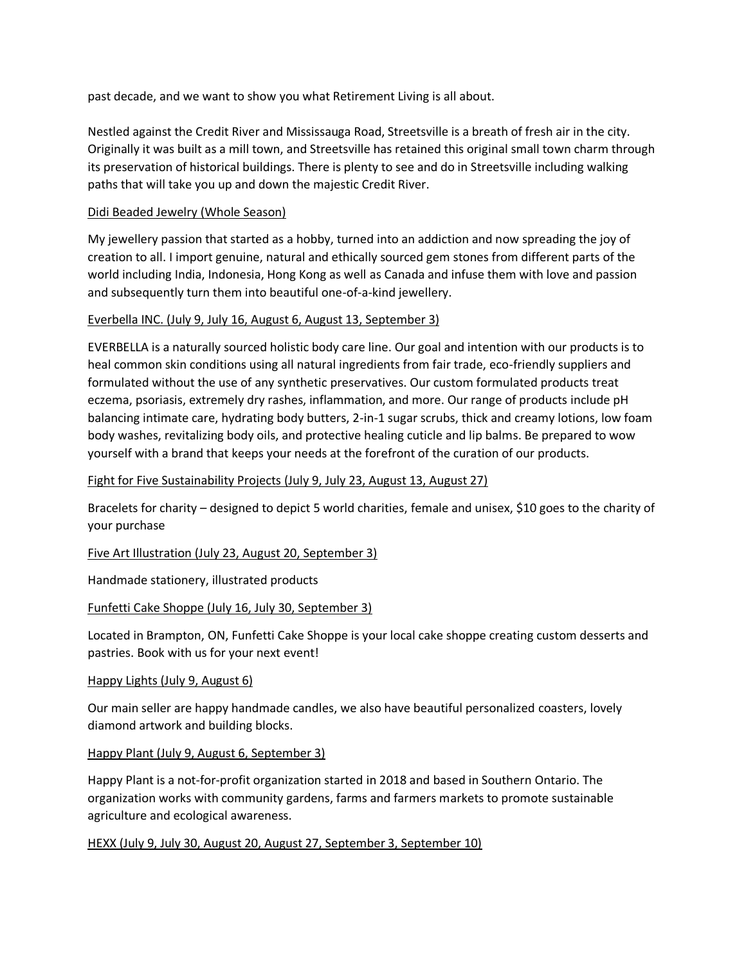past decade, and we want to show you what Retirement Living is all about.

Nestled against the Credit River and Mississauga Road, Streetsville is a breath of fresh air in the city. Originally it was built as a mill town, and Streetsville has retained this original small town charm through its preservation of historical buildings. There is plenty to see and do in Streetsville including walking paths that will take you up and down the majestic Credit River.

## Didi Beaded Jewelry (Whole Season)

My jewellery passion that started as a hobby, turned into an addiction and now spreading the joy of creation to all. I import genuine, natural and ethically sourced gem stones from different parts of the world including India, Indonesia, Hong Kong as well as Canada and infuse them with love and passion and subsequently turn them into beautiful one-of-a-kind jewellery.

## Everbella INC. (July 9, July 16, August 6, August 13, September 3)

EVERBELLA is a naturally sourced holistic body care line. Our goal and intention with our products is to heal common skin conditions using all natural ingredients from fair trade, eco-friendly suppliers and formulated without the use of any synthetic preservatives. Our custom formulated products treat eczema, psoriasis, extremely dry rashes, inflammation, and more. Our range of products include pH balancing intimate care, hydrating body butters, 2-in-1 sugar scrubs, thick and creamy lotions, low foam body washes, revitalizing body oils, and protective healing cuticle and lip balms. Be prepared to wow yourself with a brand that keeps your needs at the forefront of the curation of our products.

## Fight for Five Sustainability Projects (July 9, July 23, August 13, August 27)

Bracelets for charity – designed to depict 5 world charities, female and unisex, \$10 goes to the charity of your purchase

Five Art Illustration (July 23, August 20, September 3)

Handmade stationery, illustrated products

Funfetti Cake Shoppe (July 16, July 30, September 3)

Located in Brampton, ON, Funfetti Cake Shoppe is your local cake shoppe creating custom desserts and pastries. Book with us for your next event!

# Happy Lights (July 9, August 6)

Our main seller are happy handmade candles, we also have beautiful personalized coasters, lovely diamond artwork and building blocks.

## Happy Plant (July 9, August 6, September 3)

Happy Plant is a not-for-profit organization started in 2018 and based in Southern Ontario. The organization works with community gardens, farms and farmers markets to promote sustainable agriculture and ecological awareness.

HEXX (July 9, July 30, August 20, August 27, September 3, September 10)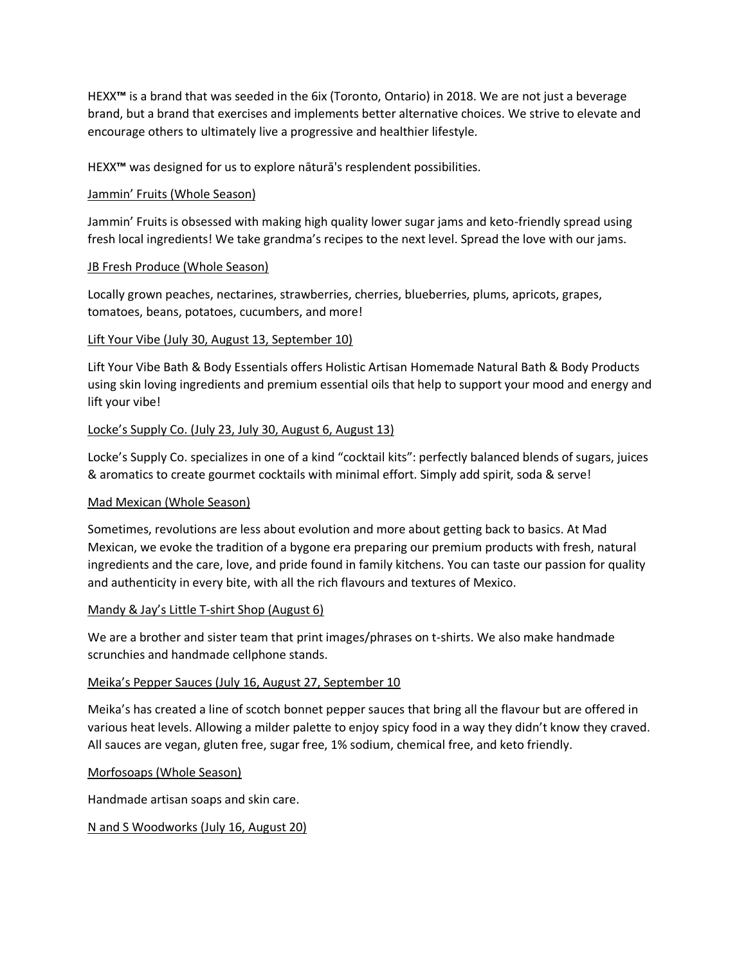HEXX**™** is a brand that was seeded in the 6ix (Toronto, Ontario) in 2018. We are not just a beverage brand, but a brand that exercises and implements better alternative choices. We strive to elevate and encourage others to ultimately live a progressive and healthier lifestyle.

HEXX**™** was designed for us to explore nāturā's resplendent possibilities.

# Jammin' Fruits (Whole Season)

Jammin' Fruits is obsessed with making high quality lower sugar jams and keto-friendly spread using fresh local ingredients! We take grandma's recipes to the next level. Spread the love with our jams.

# JB Fresh Produce (Whole Season)

Locally grown peaches, nectarines, strawberries, cherries, blueberries, plums, apricots, grapes, tomatoes, beans, potatoes, cucumbers, and more!

# Lift Your Vibe (July 30, August 13, September 10)

Lift Your Vibe Bath & Body Essentials offers Holistic Artisan Homemade Natural Bath & Body Products using skin loving ingredients and premium essential oils that help to support your mood and energy and lift your vibe!

# Locke's Supply Co. (July 23, July 30, August 6, August 13)

Locke's Supply Co. specializes in one of a kind "cocktail kits": perfectly balanced blends of sugars, juices & aromatics to create gourmet cocktails with minimal effort. Simply add spirit, soda & serve!

## Mad Mexican (Whole Season)

Sometimes, revolutions are less about evolution and more about getting back to basics. At Mad Mexican, we evoke the tradition of a bygone era preparing our premium products with fresh, natural ingredients and the care, love, and pride found in family kitchens. You can taste our passion for quality and authenticity in every bite, with all the rich flavours and textures of Mexico.

## Mandy & Jay's Little T-shirt Shop (August 6)

We are a brother and sister team that print images/phrases on t-shirts. We also make handmade scrunchies and handmade cellphone stands.

## Meika's Pepper Sauces (July 16, August 27, September 10

Meika's has created a line of scotch bonnet pepper sauces that bring all the flavour but are offered in various heat levels. Allowing a milder palette to enjoy spicy food in a way they didn't know they craved. All sauces are vegan, gluten free, sugar free, 1% sodium, chemical free, and keto friendly.

## Morfosoaps (Whole Season)

Handmade artisan soaps and skin care.

N and S Woodworks (July 16, August 20)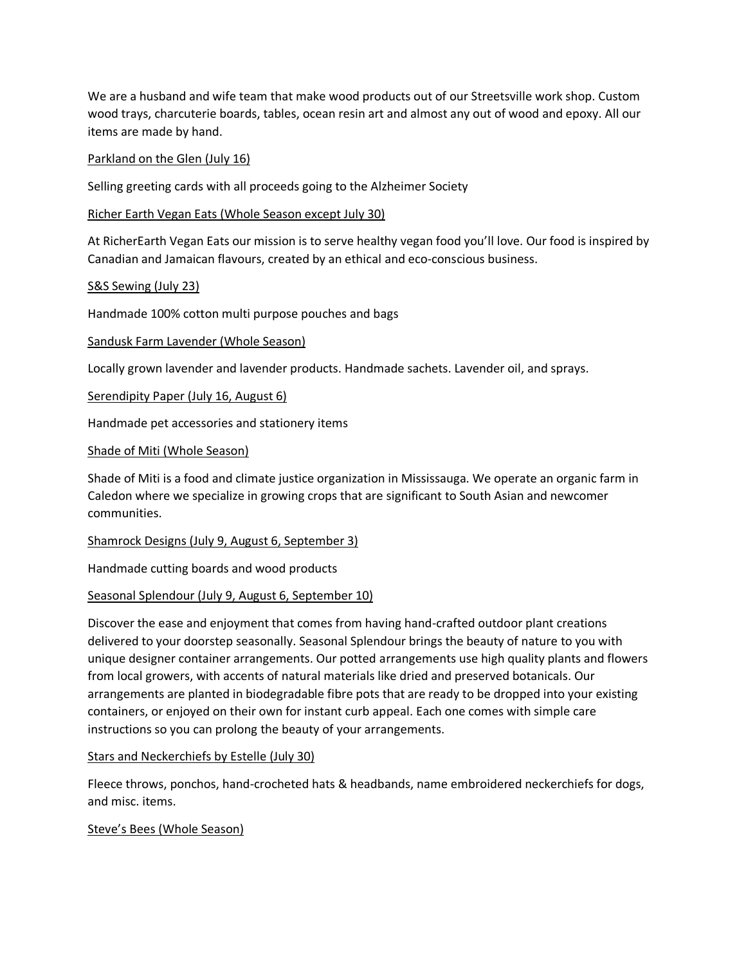We are a husband and wife team that make wood products out of our Streetsville work shop. Custom wood trays, charcuterie boards, tables, ocean resin art and almost any out of wood and epoxy. All our items are made by hand.

#### Parkland on the Glen (July 16)

Selling greeting cards with all proceeds going to the Alzheimer Society

#### Richer Earth Vegan Eats (Whole Season except July 30)

At RicherEarth Vegan Eats our mission is to serve healthy vegan food you'll love. Our food is inspired by Canadian and Jamaican flavours, created by an ethical and eco-conscious business.

#### S&S Sewing (July 23)

Handmade 100% cotton multi purpose pouches and bags

#### Sandusk Farm Lavender (Whole Season)

Locally grown lavender and lavender products. Handmade sachets. Lavender oil, and sprays.

Serendipity Paper (July 16, August 6)

Handmade pet accessories and stationery items

#### Shade of Miti (Whole Season)

Shade of Miti is a food and climate justice organization in Mississauga. We operate an organic farm in Caledon where we specialize in growing crops that are significant to South Asian and newcomer communities.

Shamrock Designs (July 9, August 6, September 3)

Handmade cutting boards and wood products

## Seasonal Splendour (July 9, August 6, September 10)

Discover the ease and enjoyment that comes from having hand-crafted outdoor plant creations delivered to your doorstep seasonally. Seasonal Splendour brings the beauty of nature to you with unique designer container arrangements. Our potted arrangements use high quality plants and flowers from local growers, with accents of natural materials like dried and preserved botanicals. Our arrangements are planted in biodegradable fibre pots that are ready to be dropped into your existing containers, or enjoyed on their own for instant curb appeal. Each one comes with simple care instructions so you can prolong the beauty of your arrangements.

## Stars and Neckerchiefs by Estelle (July 30)

Fleece throws, ponchos, hand-crocheted hats & headbands, name embroidered neckerchiefs for dogs, and misc. items.

## Steve's Bees (Whole Season)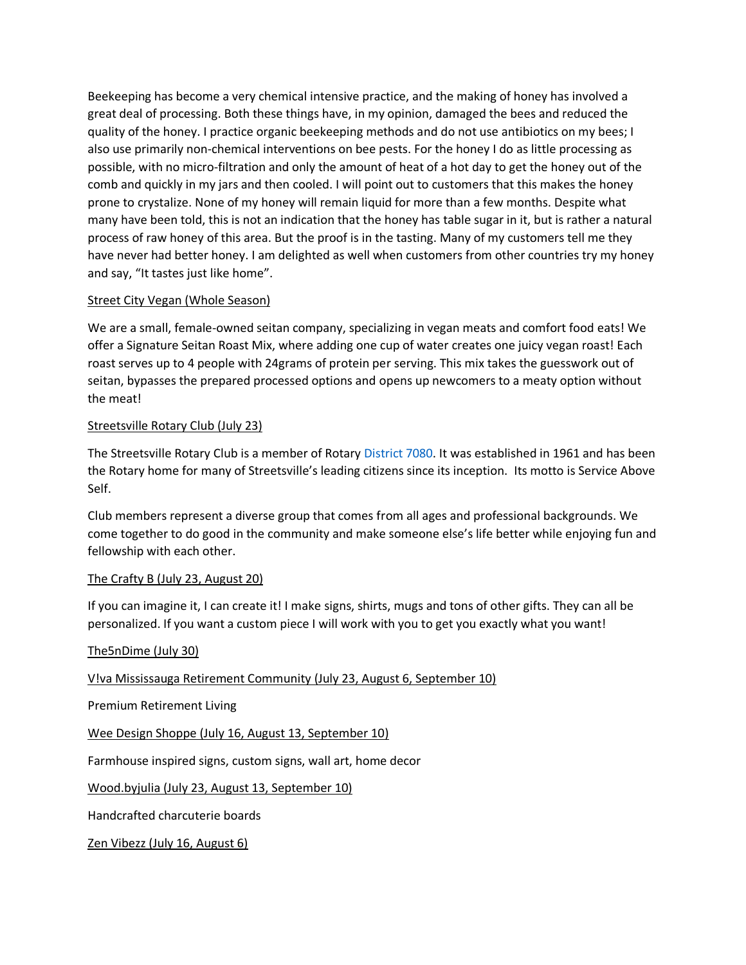Beekeeping has become a very chemical intensive practice, and the making of honey has involved a great deal of processing. Both these things have, in my opinion, damaged the bees and reduced the quality of the honey. I practice organic beekeeping methods and do not use antibiotics on my bees; I also use primarily non-chemical interventions on bee pests. For the honey I do as little processing as possible, with no micro-filtration and only the amount of heat of a hot day to get the honey out of the comb and quickly in my jars and then cooled. I will point out to customers that this makes the honey prone to crystalize. None of my honey will remain liquid for more than a few months. Despite what many have been told, this is not an indication that the honey has table sugar in it, but is rather a natural process of raw honey of this area. But the proof is in the tasting. Many of my customers tell me they have never had better honey. I am delighted as well when customers from other countries try my honey and say, "It tastes just like home".

# Street City Vegan (Whole Season)

We are a small, female-owned seitan company, specializing in vegan meats and comfort food eats! We offer a Signature Seitan Roast Mix, where adding one cup of water creates one juicy vegan roast! Each roast serves up to 4 people with 24grams of protein per serving. This mix takes the guesswork out of seitan, bypasses the prepared processed options and opens up newcomers to a meaty option without the meat!

# Streetsville Rotary Club (July 23)

The Streetsville Rotary Club is a member of Rotary [District 7080.](https://rotary7080.org/) It was established in 1961 and has been the Rotary home for many of Streetsville's leading citizens since its inception. Its motto is Service Above Self.

Club members represent a diverse group that comes from all ages and professional backgrounds. We come together to do good in the community and make someone else's life better while enjoying fun and fellowship with each other.

# The Crafty B (July 23, August 20)

If you can imagine it, I can create it! I make signs, shirts, mugs and tons of other gifts. They can all be personalized. If you want a custom piece I will work with you to get you exactly what you want!

# The5nDime (July 30)

V!va Mississauga Retirement Community (July 23, August 6, September 10)

Premium Retirement Living

Wee Design Shoppe (July 16, August 13, September 10)

Farmhouse inspired signs, custom signs, wall art, home decor

Wood.byjulia (July 23, August 13, September 10)

Handcrafted charcuterie boards

Zen Vibezz (July 16, August 6)